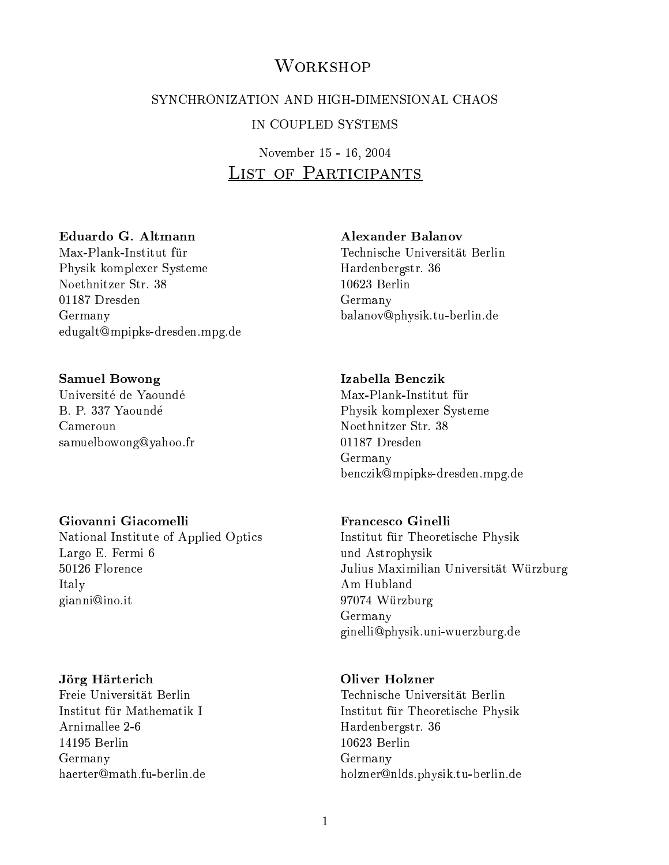# **WORKSHOP**

# SYNCHRONIZATION AND HIGH-DIMENSIONAL CHAOS IN COUPLED SYSTEMS

# November 15 - 16, 2004 List of Participants

### Eduardo G. Altmann

Physik komplexer Systeme Noethnitzer Str. 38 01187 Dresden Germany edugalt@mpipks-dresden.mpg.de

### Samuel Bowong

Université de Yaoundé B. P. 337 Yaounde Cameroun samuelbowong@yahoo.fr

### Giovanni Giacomelli

National Institute of Applied Optics Largo E. Fermi 6 50126 Florence Italy gianni@ino.it

### Jorg Harterich

Institut für Mathematik I Arnimallee 2-6 14195 Berlin Germany haerter@math.fu-berlin.de

### Alexander Balanov

Technische Universitat Berlin Hardenbergstr. 36 10623 Berlin Germany balanov@physik.tu-berlin.de

### Izabella Benczik

Max-Plank-Institut für Physik komplexer Systeme Noethnitzer Str. 38 01187 Dresden Germany Germany benczik@mpipks-dresden.mpg.de

### Francesco Ginelli

Institut fur Theoretische Physik und Astrophysik Julius Maximilian Universitat Wurzburg Am Hubland 9707 Wurdenburg Germany ginelli@physik.uni-wuerzburg.de

### Oliver Holzner

Institut fur die eerste gewone van die gewone van die gewone van die gewone van die gewone van die gewone van Hardenbergstr. 36 10623 Berlin Germany holzner@nlds.physik.tu-berlin.de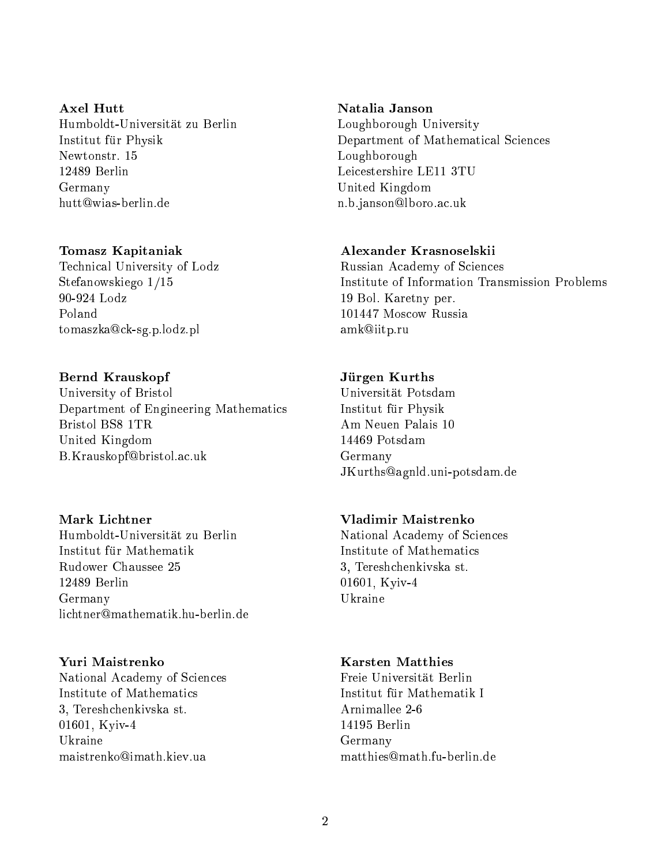# Axel Hutt Humboldt-Universitat zu Berlin  $\mathcal{I}$  is the physical function of  $\mathcal{I}$ Newtonstr. 15 12489 Berlin Germany hutt@wias-berlin.de

# Tomasz Kapitaniak

Technical University of Lodz Stefanowskiego 1/15 90-924 Lodz Poland tomaszka@ck-sg.p.lodz.pl

# Bernd Krauskopf

University of Bristol Department of Engineering Mathematics Bristol BS8 1TR United Kingdom B.Krauskopf@bristol.ac.uk

# Mark Lichtner

Humboldt-Universitat zu Berlin Rudower Chaussee 25 12489 Berlin Germany

# Yuri Maistrenko

National Academy of Sciences Institute of Mathematics 3, Tereshchenkivska st. 01601, Kyiv-4 Ukraine maistrenko@imath.kiev.ua

# Natalia Janson

Loughborough University Department of Mathematical Sciences Loughborough Leicestershire LE11 3TU United Kingdom n.b.janson@lboro.ac.uk

# Alexander Krasnoselskii

Russian Academy of Sciences Institute of Information Transmission Problems 19 Bol. Karetny per. 101447 Moscow Russia amk@iitp.ru

# Jurgen Kurths

 $\mathcal{I}$  is the physical function of  $\mathcal{I}$ Am Neuen Palais 10 14469 Potsdam Germany JKurths@agnld.uni-potsdam.de

# Vladimir Maistrenko

National Academy of Sciences 3, Tereshchenkivska st. 01601, Kyiv-4 Ukraine

# Karsten Matthies

Freie Universität Berlin 14195 Berlin Germany matthies@math.fu-berlin.de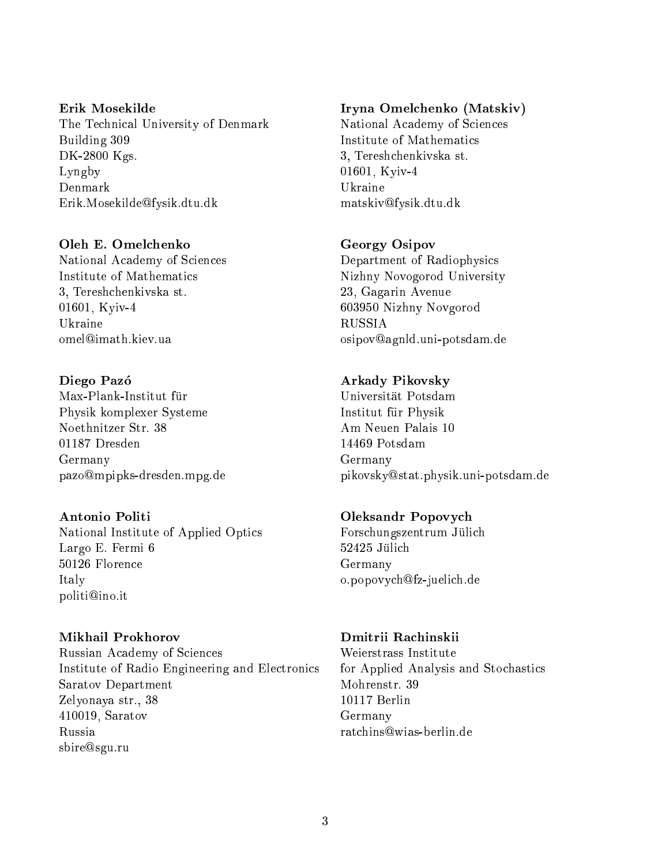Erik Mosekilde The Technical University of Denmark Building 309 DK-2800 Kgs. Lyngby Erik.Mosekilde@fysik.dtu.dk

### Oleh E. Omelchenko

National Academy of Sciences Institute of Mathematics 3, Tereshchenkivska st. 01601, Kyiv-4 Ukraine omel@imath.kiev.ua

### Diego Pazó

Physik komplexer Systeme Noethnitzer Str. 38 Germany pazo@mpipks-dresden.mpg.de

### Antonio Politi

National Institute of Applied Optics Largo E. Fermi 6 50126 Florence Italy politi@ino.it

Russian Academy of Sciences Institute of Radio Engineering and Electronics Saratov Department Zelyonaya str., 38 410019, Saratov Russia sbire@sgu.ru

# Iryna Omelchenko (Matskiv)

National Academy of Sciences Institute of Mathematics 3, Tereshchenkivska st. 01601, Kyiv-4 matskiv@fysik.dtu.dk

### Georgy Osipov

Department of Radiophysics Nizhny Novogorod University 23, Gagarin Avenue 603950 Nizhny Novgorod **RUSSIA** osipov@agnld.uni-potsdam.de

### Arkady Pikovsky

Universitat Potsdam Institut fur Physik Am Neuen Palais 10 Germany pikovsky@stat.physik.uni-potsdam.de

### Oleksandr Popovych

Forschungszentrum Julic <sup>h</sup> 52425 Jülich Germany o.popovych@fz-juelich.de

Weierstrass Institute for Applied Analysis and Stochastics Mohrenstr. 39 10117 Berlin Germany ratchins@wias-berlin.de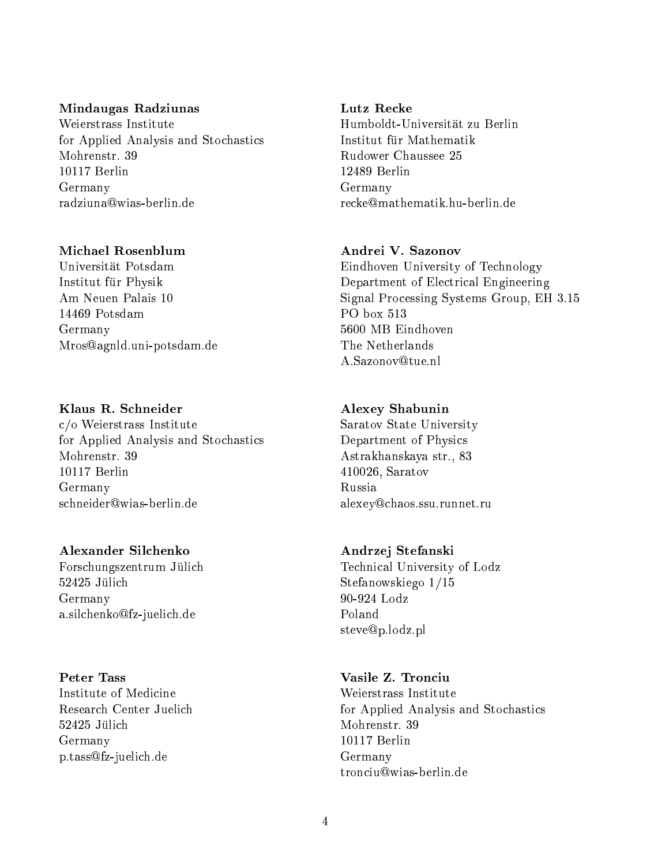### Mindaugas Radziunas

Weierstrass Institute for Applied Analysis and Stochastics Mohrenstr. 39 10117 Berlin Germany radziuna@wias-berlin.de

### Michael Rosenblum

Universitat Potsdam Institut fur Physik Am Neuen Palais 10 14469 Potsdam Germany Mros@agnld.uni-potsdam.de

### Klaus R. Schneider

c/o Weierstrass Institute for Applied Analysis and Stochastics 10117 Berlin Germany schneider@wias-berlin.de

Forschungszentrum Jülich Forschungszentrum Julic Germany a.silchenko@fz-juelich.de

# **Peter Tass**

Institute of Medicine Germany p.tass@fz-juelich.de

### Lutz Recke

Humboldt-Universität zu Berlin Institut für Mathematik Rudower Chaussee 25 12489 Berlin Germany recke@mathematik.hu-berlin.de

# Andrei V. Sazonov

Eindhoven University of Technology Department of Electrical Engineering Signal Processing Systems Group, EH 3.15 PO box 513 5600 MB Eindhoven A.Sazonov@tue.nl

### Alexey Shabunin

Saratov State University Department of Physics Astrakhanskaya str., 83 410026, Saratov Russia alexey@chaos.ssu.runnet.ru

### Andrzej Stefanski

Technical University of Lodz Stefanowskiego 1/15 90-924 Lodz steve@p.lodz.pl

# Vasile Z. Tronciu

Weierstrass Institute for Applied Analysis and Stochastics Mohrenstr. 39 10117 Berlin Germany tronciu@wias-berlin.de